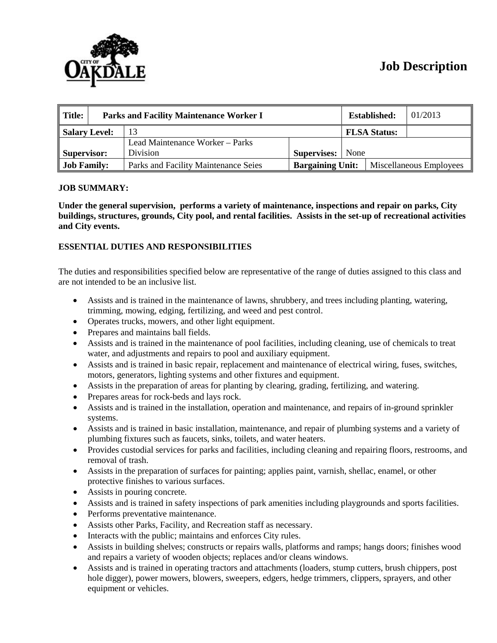# **Job Description**



| Title:             | <b>Parks and Facility Maintenance Worker I</b> |                                      |                         |      | <b>Established:</b>     | 01/2013 |
|--------------------|------------------------------------------------|--------------------------------------|-------------------------|------|-------------------------|---------|
| Salary Level:      |                                                |                                      |                         |      | <b>FLSA Status:</b>     |         |
|                    |                                                | Lead Maintenance Worker - Parks      |                         |      |                         |         |
| Supervisor:        |                                                | <b>Division</b>                      | <b>Supervises:</b>      | None |                         |         |
| <b>Job Family:</b> |                                                | Parks and Facility Maintenance Seies | <b>Bargaining Unit:</b> |      | Miscellaneous Employees |         |

## **JOB SUMMARY:**

**Under the general supervision, performs a variety of maintenance, inspections and repair on parks, City buildings, structures, grounds, City pool, and rental facilities. Assists in the set-up of recreational activities and City events.** 

## **ESSENTIAL DUTIES AND RESPONSIBILITIES**

The duties and responsibilities specified below are representative of the range of duties assigned to this class and are not intended to be an inclusive list.

- Assists and is trained in the maintenance of lawns, shrubbery, and trees including planting, watering, trimming, mowing, edging, fertilizing, and weed and pest control.
- Operates trucks, mowers, and other light equipment.
- Prepares and maintains ball fields.
- Assists and is trained in the maintenance of pool facilities, including cleaning, use of chemicals to treat water, and adjustments and repairs to pool and auxiliary equipment.
- Assists and is trained in basic repair, replacement and maintenance of electrical wiring, fuses, switches, motors, generators, lighting systems and other fixtures and equipment.
- Assists in the preparation of areas for planting by clearing, grading, fertilizing, and watering.
- Prepares areas for rock-beds and lays rock.
- Assists and is trained in the installation, operation and maintenance, and repairs of in-ground sprinkler systems.
- Assists and is trained in basic installation, maintenance, and repair of plumbing systems and a variety of plumbing fixtures such as faucets, sinks, toilets, and water heaters.
- Provides custodial services for parks and facilities, including cleaning and repairing floors, restrooms, and removal of trash.
- Assists in the preparation of surfaces for painting; applies paint, varnish, shellac, enamel, or other protective finishes to various surfaces.
- Assists in pouring concrete.
- Assists and is trained in safety inspections of park amenities including playgrounds and sports facilities.
- Performs preventative maintenance.
- Assists other Parks, Facility, and Recreation staff as necessary.
- Interacts with the public; maintains and enforces City rules.
- Assists in building shelves; constructs or repairs walls, platforms and ramps; hangs doors; finishes wood and repairs a variety of wooden objects; replaces and/or cleans windows.
- Assists and is trained in operating tractors and attachments (loaders, stump cutters, brush chippers, post hole digger), power mowers, blowers, sweepers, edgers, hedge trimmers, clippers, sprayers, and other equipment or vehicles.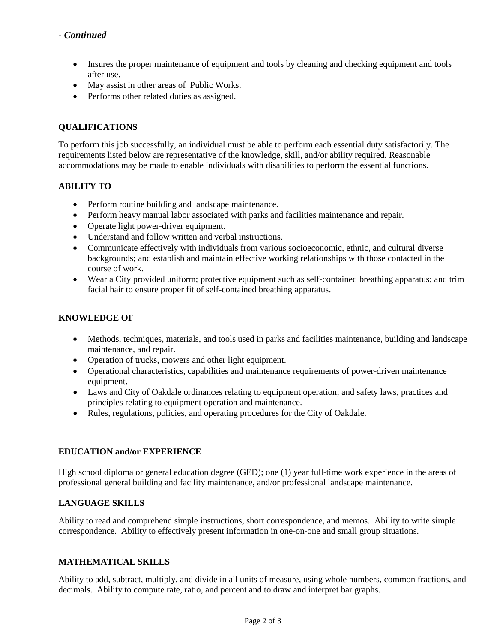- Insures the proper maintenance of equipment and tools by cleaning and checking equipment and tools after use.
- May assist in other areas of Public Works.
- Performs other related duties as assigned.

# **QUALIFICATIONS**

To perform this job successfully, an individual must be able to perform each essential duty satisfactorily. The requirements listed below are representative of the knowledge, skill, and/or ability required. Reasonable accommodations may be made to enable individuals with disabilities to perform the essential functions.

# **ABILITY TO**

- Perform routine building and landscape maintenance.
- Perform heavy manual labor associated with parks and facilities maintenance and repair.
- Operate light power-driver equipment.
- Understand and follow written and verbal instructions.
- Communicate effectively with individuals from various socioeconomic, ethnic, and cultural diverse backgrounds; and establish and maintain effective working relationships with those contacted in the course of work.
- Wear a City provided uniform; protective equipment such as self-contained breathing apparatus; and trim facial hair to ensure proper fit of self-contained breathing apparatus.

# **KNOWLEDGE OF**

- Methods, techniques, materials, and tools used in parks and facilities maintenance, building and landscape maintenance, and repair.
- Operation of trucks, mowers and other light equipment.
- Operational characteristics, capabilities and maintenance requirements of power-driven maintenance equipment.
- Laws and City of Oakdale ordinances relating to equipment operation; and safety laws, practices and principles relating to equipment operation and maintenance.
- Rules, regulations, policies, and operating procedures for the City of Oakdale.

#### **EDUCATION and/or EXPERIENCE**

High school diploma or general education degree (GED); one (1) year full-time work experience in the areas of professional general building and facility maintenance, and/or professional landscape maintenance.

# **LANGUAGE SKILLS**

Ability to read and comprehend simple instructions, short correspondence, and memos. Ability to write simple correspondence. Ability to effectively present information in one-on-one and small group situations.

#### **MATHEMATICAL SKILLS**

Ability to add, subtract, multiply, and divide in all units of measure, using whole numbers, common fractions, and decimals. Ability to compute rate, ratio, and percent and to draw and interpret bar graphs.